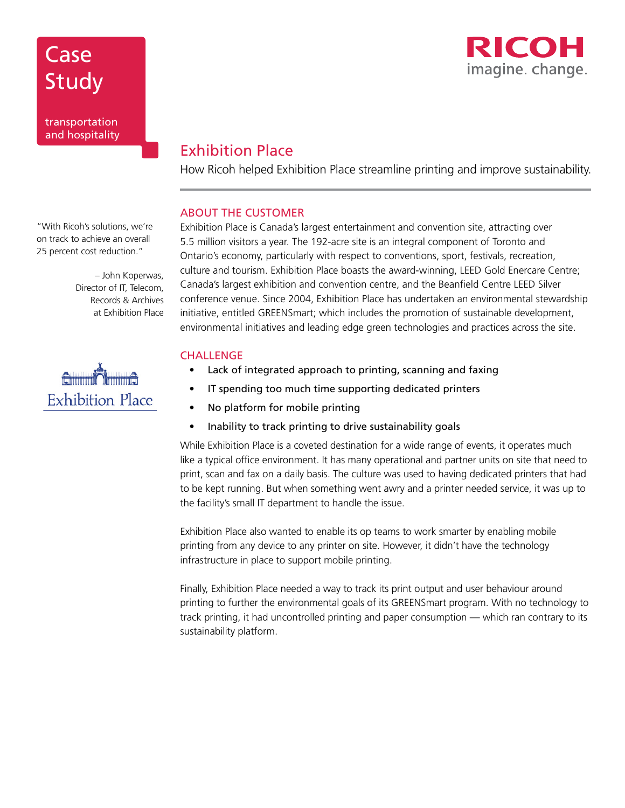

## Exhibition Place

How Ricoh helped Exhibition Place streamline printing and improve sustainability.

### ABOUT THE CUSTOMER

Exhibition Place is Canada's largest entertainment and convention site, attracting over 5.5 million visitors a year. The 192-acre site is an integral component of Toronto and Ontario's economy, particularly with respect to conventions, sport, festivals, recreation, culture and tourism. Exhibition Place boasts the award-winning, LEED Gold Enercare Centre; Canada's largest exhibition and convention centre, and the Beanfield Centre LEED Silver conference venue. Since 2004, Exhibition Place has undertaken an environmental stewardship initiative, entitled GREENSmart; which includes the promotion of sustainable development, environmental initiatives and leading edge green technologies and practices across the site.

#### **CHALLENGE**

- Lack of integrated approach to printing, scanning and faxing
- IT spending too much time supporting dedicated printers
- No platform for mobile printing
- Inability to track printing to drive sustainability goals

While Exhibition Place is a coveted destination for a wide range of events, it operates much like a typical office environment. It has many operational and partner units on site that need to print, scan and fax on a daily basis. The culture was used to having dedicated printers that had to be kept running. But when something went awry and a printer needed service, it was up to the facility's small IT department to handle the issue.

Exhibition Place also wanted to enable its op teams to work smarter by enabling mobile printing from any device to any printer on site. However, it didn't have the technology infrastructure in place to support mobile printing.

Finally, Exhibition Place needed a way to track its print output and user behaviour around printing to further the environmental goals of its GREENSmart program. With no technology to track printing, it had uncontrolled printing and paper consumption — which ran contrary to its sustainability platform.

"With Ricoh's solutions, we're on track to achieve an overall 25 percent cost reduction."

**Case** 

Study

transportation and hospitality

> – John Koperwas, Director of IT, Telecom, Records & Archives at Exhibition Place